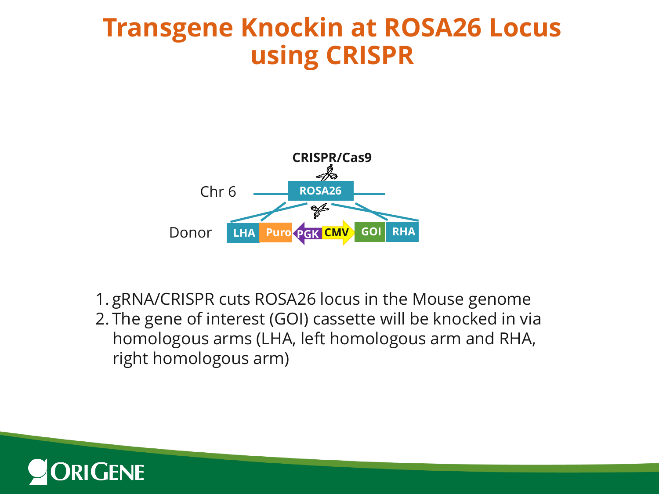## **Transgene Knockin at ROSA26 Locus using CRISPR**



1. gRNA/CRISPR cuts ROSA26 locus in the Mouse genome 2. The gene of interest (GOI) cassette will be knocked in via homologous arms (LHA, left homologous arm and RHA, right homologous arm)

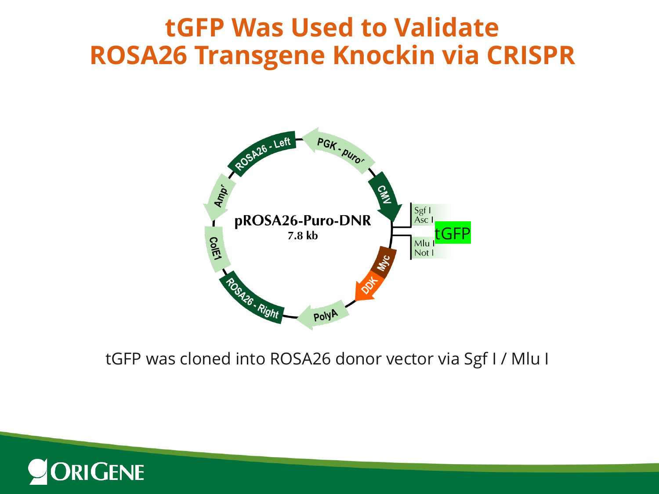## **tGFP Was Used to Validate ROSA26 Transgene Knockin via CRISPR**



#### tGFP was cloned into ROSA26 donor vector via Sgf I / Mlu I

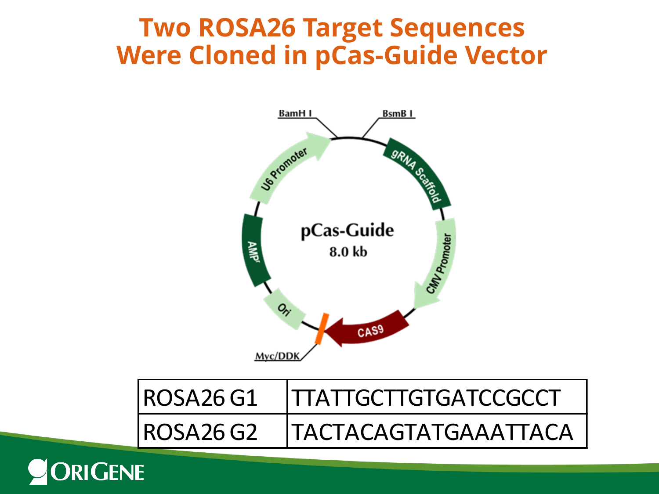#### **Two ROSA26 Target Sequences Were Cloned in pCas-Guide Vector**



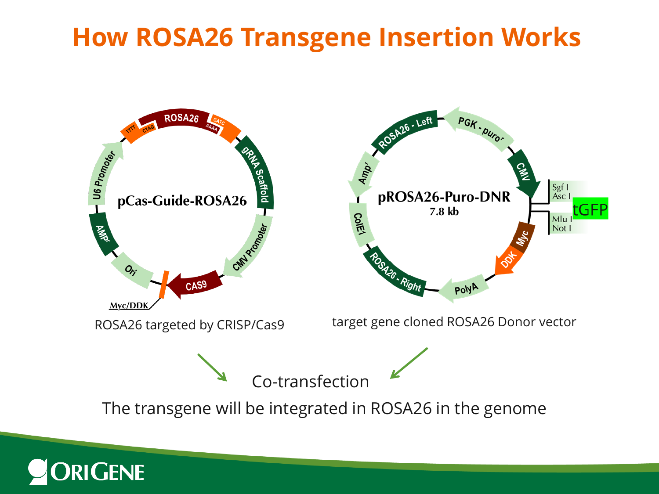## **How ROSA26 Transgene Insertion Works**

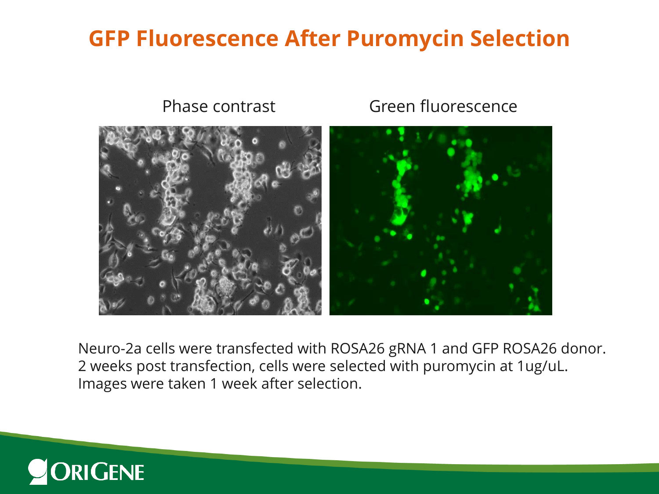#### **GFP Fluorescence After Puromycin Selection**



Neuro-2a cells were transfected with ROSA26 gRNA 1 and GFP ROSA26 donor. 2 weeks post transfection, cells were selected with puromycin at 1ug/uL. Images were taken 1 week after selection.

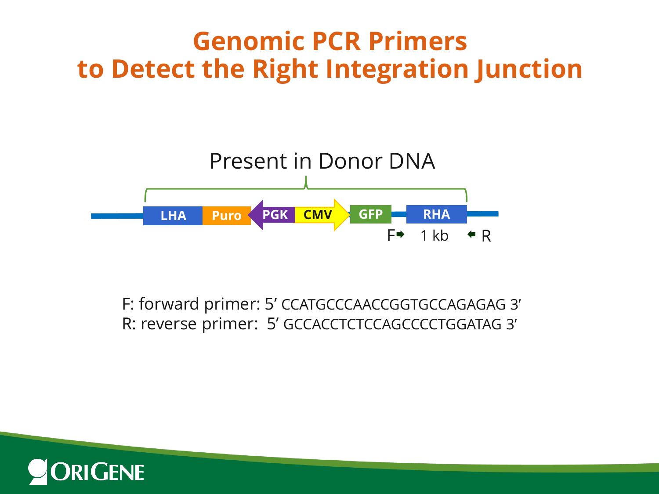## **Genomic PCR Primers to Detect the Right Integration Junction**



F: forward primer: 5' CCATGCCCAACCGGTGCCAGAGAG 3' R: reverse primer: 5' GCCACCTCTCCAGCCCCTGGATAG 3'

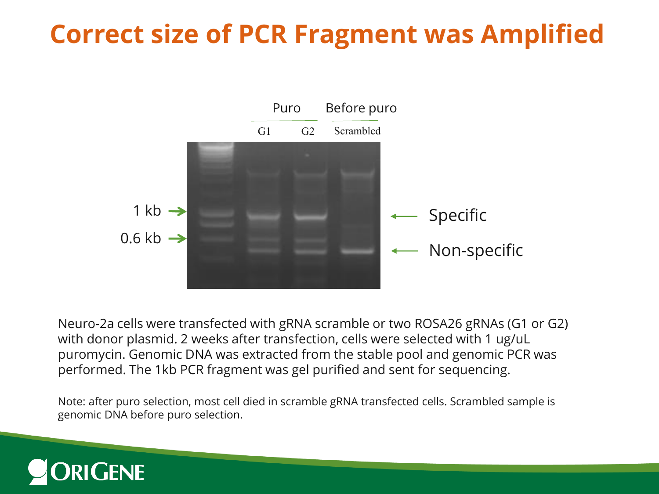# **Correct size of PCR Fragment was Amplified**



Neuro-2a cells were transfected with gRNA scramble or two ROSA26 gRNAs (G1 or G2) with donor plasmid. 2 weeks after transfection, cells were selected with 1 ug/uL puromycin. Genomic DNA was extracted from the stable pool and genomic PCR was performed. The 1kb PCR fragment was gel purified and sent for sequencing.

Note: after puro selection, most cell died in scramble gRNA transfected cells. Scrambled sample is genomic DNA before puro selection.